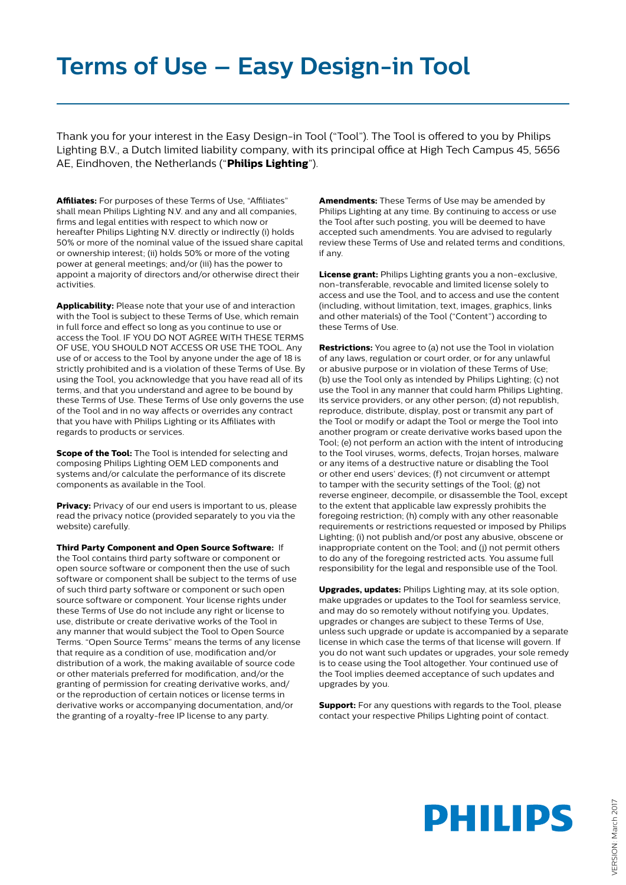## **Terms of Use – Easy Design-in Tool**

Thank you for your interest in the Easy Design-in Tool ("Tool"). The Tool is offered to you by Philips Lighting B.V., a Dutch limited liability company, with its principal office at High Tech Campus 45, 5656 AE, Eindhoven, the Netherlands ("**Philips Lighting**").

**Affiliates:** For purposes of these Terms of Use, "Affiliates" shall mean Philips Lighting N.V. and any and all companies, firms and legal entities with respect to which now or hereafter Philips Lighting N.V. directly or indirectly (i) holds 50% or more of the nominal value of the issued share capital or ownership interest; (ii) holds 50% or more of the voting power at general meetings; and/or (iii) has the power to appoint a majority of directors and/or otherwise direct their activities.

**Applicability:** Please note that your use of and interaction with the Tool is subject to these Terms of Use, which remain in full force and effect so long as you continue to use or access the Tool. IF YOU DO NOT AGREE WITH THESE TERMS OF USE, YOU SHOULD NOT ACCESS OR USE THE TOOL. Any use of or access to the Tool by anyone under the age of 18 is strictly prohibited and is a violation of these Terms of Use. By using the Tool, you acknowledge that you have read all of its terms, and that you understand and agree to be bound by these Terms of Use. These Terms of Use only governs the use of the Tool and in no way affects or overrides any contract that you have with Philips Lighting or its Affiliates with regards to products or services.

**Scope of the Tool:** The Tool is intended for selecting and composing Philips Lighting OEM LED components and systems and/or calculate the performance of its discrete components as available in the Tool.

**Privacy:** Privacy of our end users is important to us, please read the privacy notice (provided separately to you via the website) carefully.

**Third Party Component and Open Source Software:** If the Tool contains third party software or component or open source software or component then the use of such software or component shall be subject to the terms of use of such third party software or component or such open source software or component. Your license rights under these Terms of Use do not include any right or license to use, distribute or create derivative works of the Tool in any manner that would subject the Tool to Open Source Terms. "Open Source Terms" means the terms of any license that require as a condition of use, modification and/or distribution of a work, the making available of source code or other materials preferred for modification, and/or the granting of permission for creating derivative works, and/ or the reproduction of certain notices or license terms in derivative works or accompanying documentation, and/or the granting of a royalty-free IP license to any party.

**Amendments:** These Terms of Use may be amended by Philips Lighting at any time. By continuing to access or use the Tool after such posting, you will be deemed to have accepted such amendments. You are advised to regularly review these Terms of Use and related terms and conditions, if any.

**License grant:** Philips Lighting grants you a non-exclusive, non-transferable, revocable and limited license solely to access and use the Tool, and to access and use the content (including, without limitation, text, images, graphics, links and other materials) of the Tool ("Content") according to these Terms of Use.

**Restrictions:** You agree to (a) not use the Tool in violation of any laws, regulation or court order, or for any unlawful or abusive purpose or in violation of these Terms of Use; (b) use the Tool only as intended by Philips Lighting; (c) not use the Tool in any manner that could harm Philips Lighting, its service providers, or any other person; (d) not republish, reproduce, distribute, display, post or transmit any part of the Tool or modify or adapt the Tool or merge the Tool into another program or create derivative works based upon the Tool; (e) not perform an action with the intent of introducing to the Tool viruses, worms, defects, Trojan horses, malware or any items of a destructive nature or disabling the Tool or other end users' devices; (f) not circumvent or attempt to tamper with the security settings of the Tool; (g) not reverse engineer, decompile, or disassemble the Tool, except to the extent that applicable law expressly prohibits the foregoing restriction; (h) comply with any other reasonable requirements or restrictions requested or imposed by Philips Lighting; (i) not publish and/or post any abusive, obscene or inappropriate content on the Tool; and (j) not permit others to do any of the foregoing restricted acts. You assume full responsibility for the legal and responsible use of the Tool.

**Upgrades, updates:** Philips Lighting may, at its sole option, make upgrades or updates to the Tool for seamless service, and may do so remotely without notifying you. Updates, upgrades or changes are subject to these Terms of Use, unless such upgrade or update is accompanied by a separate license in which case the terms of that license will govern. If you do not want such updates or upgrades, your sole remedy is to cease using the Tool altogether. Your continued use of the Tool implies deemed acceptance of such updates and upgrades by you.

**Support:** For any questions with regards to the Tool, please contact your respective Philips Lighting point of contact.